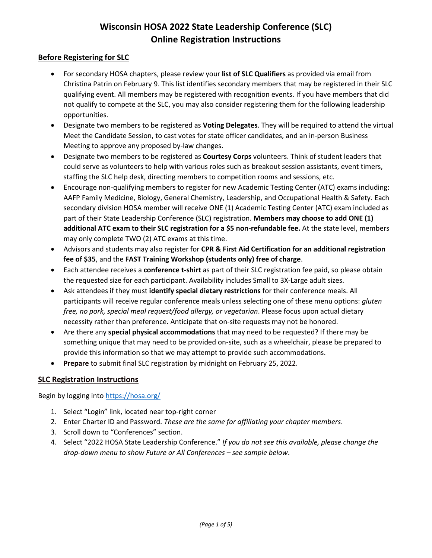# **Wisconsin HOSA 2022 State Leadership Conference (SLC) Online Registration Instructions**

# **Before Registering for SLC**

- For secondary HOSA chapters, please review your **list of SLC Qualifiers** as provided via email from Christina Patrin on February 9. This list identifies secondary members that may be registered in their SLC qualifying event. All members may be registered with recognition events. If you have members that did not qualify to compete at the SLC, you may also consider registering them for the following leadership opportunities.
- Designate two members to be registered as **Voting Delegates**. They will be required to attend the virtual Meet the Candidate Session, to cast votes for state officer candidates, and an in-person Business Meeting to approve any proposed by-law changes.
- Designate two members to be registered as **Courtesy Corps** volunteers. Think of student leaders that could serve as volunteers to help with various roles such as breakout session assistants, event timers, staffing the SLC help desk, directing members to competition rooms and sessions, etc.
- Encourage non-qualifying members to register for new Academic Testing Center (ATC) exams including: AAFP Family Medicine, Biology, General Chemistry, Leadership, and Occupational Health & Safety. Each secondary division HOSA member will receive ONE (1) Academic Testing Center (ATC) exam included as part of their State Leadership Conference (SLC) registration. **Members may choose to add ONE (1) additional ATC exam to their SLC registration for a \$5 non-refundable fee.** At the state level, members may only complete TWO (2) ATC exams at this time.
- Advisors and students may also register for **CPR & First Aid Certification for an additional registration fee of \$35**, and the **FAST Training Workshop (students only) free of charge**.
- Each attendee receives a **conference t-shirt** as part of their SLC registration fee paid, so please obtain the requested size for each participant. Availability includes Small to 3X-Large adult sizes.
- Ask attendees if they must **identify special dietary restrictions** for their conference meals. All participants will receive regular conference meals unless selecting one of these menu options: *gluten free, no pork, special meal request/food allergy, or vegetarian*. Please focus upon actual dietary necessity rather than preference. Anticipate that on-site requests may not be honored.
- Are there any **special physical accommodations** that may need to be requested? If there may be something unique that may need to be provided on-site, such as a wheelchair, please be prepared to provide this information so that we may attempt to provide such accommodations.
- **Prepare** to submit final SLC registration by midnight on February 25, 2022.

# **SLC Registration Instructions**

Begin by logging int[o https://hosa.org/](https://hosa.org/)

- 1. Select "Login" link, located near top-right corner
- 2. Enter Charter ID and Password. *These are the same for affiliating your chapter members*.
- 3. Scroll down to "Conferences" section.
- 4. Select "2022 HOSA State Leadership Conference." *If you do not see this available, please change the drop-down menu to show Future or All Conferences – see sample below*.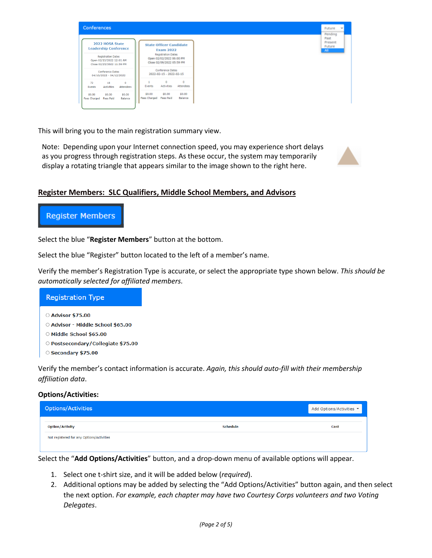

This will bring you to the main registration summary view.

Note: Depending upon your Internet connection speed, you may experience short delays as you progress through registration steps. As these occur, the system may temporarily display a rotating triangle that appears similar to the image shown to the right here.



# **Register Members: SLC Qualifiers, Middle School Members, and Advisors**

# **Register Members**

Select the blue "**Register Members**" button at the bottom.

Select the blue "Register" button located to the left of a member's name.

Verify the member's Registration Type is accurate, or select the appropriate type shown below. *This should be automatically selected for affiliated members.*

## **Registration Type**

○ Advisor \$75.00

- Advisor Middle School \$65.00
- O Middle School \$65.00
- O Postsecondary/Collegiate \$75.00
- Secondary \$75.00

Verify the member's contact information is accurate. *Again, this should auto-fill with their membership affiliation data*.

### **Options/Activities:**

| <b>Options/Activities</b>                 | Add Options/Activities * |
|-------------------------------------------|--------------------------|
| <b>Schedule</b><br><b>Option/Activity</b> | Cost                     |
| Not registered for any Options/Activities |                          |
|                                           |                          |

Select the "**Add Options/Activities**" button, and a drop-down menu of available options will appear.

- 1. Select one t-shirt size, and it will be added below (*required*).
- 2. Additional options may be added by selecting the "Add Options/Activities" button again, and then select the next option. *For example, each chapter may have two Courtesy Corps volunteers and two Voting Delegates*.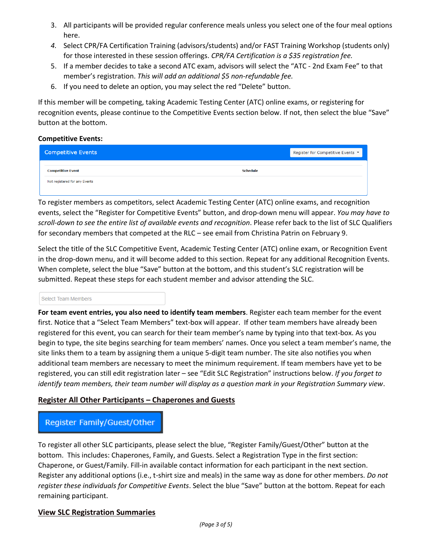- 3. All participants will be provided regular conference meals unless you select one of the four meal options here.
- *4.* Select CPR/FA Certification Training (advisors/students) and/or FAST Training Workshop (students only) for those interested in these session offerings. *CPR/FA Certification is a \$35 registration fee.*
- 5. If a member decides to take a second ATC exam, advisors will select the "ATC 2nd Exam Fee" to that member's registration. *This will add an additional \$5 non-refundable fee.*
- 6. If you need to delete an option, you may select the red "Delete" button.

If this member will be competing, taking Academic Testing Center (ATC) online exams, or registering for recognition events, please continue to the Competitive Events section below. If not, then select the blue "Save" button at the bottom.

## **Competitive Events:**

| <b>Competitive Events</b>     |                 | Register for Competitive Events ▼ |
|-------------------------------|-----------------|-----------------------------------|
| <b>Competitive Event</b>      | <b>Schedule</b> |                                   |
| Not registered for any Events |                 |                                   |

To register members as competitors, select Academic Testing Center (ATC) online exams, and recognition events, select the "Register for Competitive Events" button, and drop-down menu will appear. *You may have to scroll-down to see the entire list of available events and recognition*. Please refer back to the list of SLC Qualifiers for secondary members that competed at the RLC – see email from Christina Patrin on February 9.

Select the title of the SLC Competitive Event, Academic Testing Center (ATC) online exam, or Recognition Event in the drop-down menu, and it will become added to this section. Repeat for any additional Recognition Events. When complete, select the blue "Save" button at the bottom, and this student's SLC registration will be submitted. Repeat these steps for each student member and advisor attending the SLC.

#### Select Team Members

**For team event entries, you also need to identify team members**. Register each team member for the event first. Notice that a "Select Team Members" text-box will appear. If other team members have already been registered for this event, you can search for their team member's name by typing into that text-box. As you begin to type, the site begins searching for team members' names. Once you select a team member's name, the site links them to a team by assigning them a unique 5-digit team number. The site also notifies you when additional team members are necessary to meet the minimum requirement. If team members have yet to be registered, you can still edit registration later – see "Edit SLC Registration" instructions below. *If you forget to identify team members, their team number will display as a question mark in your Registration Summary view*.

# **Register All Other Participants – Chaperones and Guests**

# Register Family/Guest/Other

To register all other SLC participants, please select the blue, "Register Family/Guest/Other" button at the bottom. This includes: Chaperones, Family, and Guests. Select a Registration Type in the first section: Chaperone, or Guest/Family. Fill-in available contact information for each participant in the next section. Register any additional options (i.e., t-shirt size and meals) in the same way as done for other members. *Do not register these individuals for Competitive Events*. Select the blue "Save" button at the bottom. Repeat for each remaining participant.

## **View SLC Registration Summaries**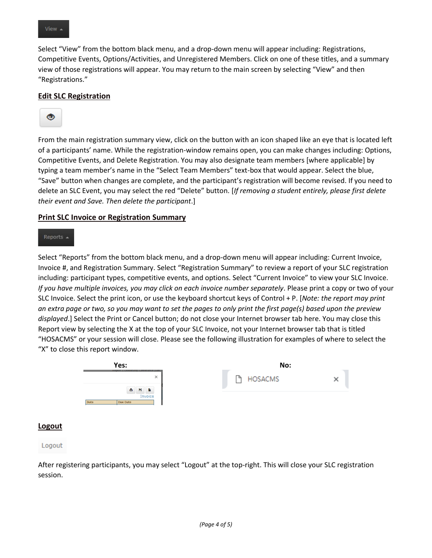Select "View" from the bottom black menu, and a drop-down menu will appear including: Registrations, Competitive Events, Options/Activities, and Unregistered Members. Click on one of these titles, and a summary view of those registrations will appear. You may return to the main screen by selecting "View" and then "Registrations."

## **Edit SLC Registration**



From the main registration summary view, click on the button with an icon shaped like an eye that is located left of a participants' name. While the registration-window remains open, you can make changes including: Options, Competitive Events, and Delete Registration. You may also designate team members [where applicable] by typing a team member's name in the "Select Team Members" text-box that would appear. Select the blue, "Save" button when changes are complete, and the participant's registration will become revised. If you need to delete an SLC Event, you may select the red "Delete" button. [*If removing a student entirely, please first delete their event and Save. Then delete the participant*.]

### **Print SLC Invoice or Registration Summary**

#### Reports .

Select "Reports" from the bottom black menu, and a drop-down menu will appear including: Current Invoice, Invoice #, and Registration Summary. Select "Registration Summary" to review a report of your SLC registration including: participant types, competitive events, and options. Select "Current Invoice" to view your SLC Invoice. *If you have multiple invoices, you may click on each invoice number separately*. Please print a copy or two of your SLC Invoice. Select the print icon, or use the keyboard shortcut keys of Control + P. [*Note: the report may print an extra page or two, so you may want to set the pages to only print the first page(s) based upon the preview displayed*.] Select the Print or Cancel button; do not close your Internet browser tab here. You may close this Report view by selecting the X at the top of your SLC Invoice, not your Internet browser tab that is titled "HOSACMS" or your session will close. Please see the following illustration for examples of where to select the "X" to close this report window.



#### **Logout**

#### Logout

After registering participants, you may select "Logout" at the top-right. This will close your SLC registration session.